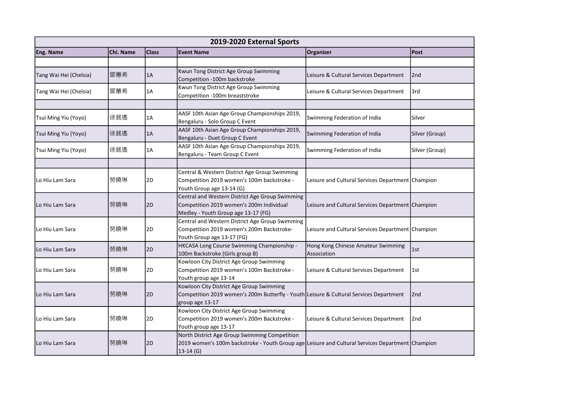|                        | 2019-2020 External Sports |              |                                                                                                                                                                  |                                                     |                 |  |  |
|------------------------|---------------------------|--------------|------------------------------------------------------------------------------------------------------------------------------------------------------------------|-----------------------------------------------------|-----------------|--|--|
| Eng. Name              | Chi. Name                 | <b>Class</b> | <b>Event Name</b>                                                                                                                                                | Organizer                                           | <b>Post</b>     |  |  |
|                        |                           |              |                                                                                                                                                                  |                                                     |                 |  |  |
| Tang Wai Hei (Chelsia) | 鄧蕙希                       | 1A           | Kwun Tong District Age Group Swimming<br>Competition -100m backstroke                                                                                            | Leisure & Cultural Services Department              | 2nd             |  |  |
| Tang Wai Hei (Chelsia) | 鄧蕙希                       | 1A           | Kwun Tong District Age Group Swimming<br>Competition -100m breaststroke                                                                                          | Leisure & Cultural Services Department              | l3rd            |  |  |
|                        |                           |              |                                                                                                                                                                  |                                                     |                 |  |  |
| Tsui Ming Yiu (Yoyo)   | 徐銘遙                       | 1A           | AASF 10th Asian Age Group Championships 2019,<br>Bengaluru - Solo Group C Event                                                                                  | Swimming Federation of India                        | Silver          |  |  |
| Tsui Ming Yiu (Yoyo)   | 徐銘遙                       | 1A           | AASF 10th Asian Age Group Championships 2019,<br>Bengaluru - Duet Group C Event                                                                                  | Swimming Federation of India                        | Silver (Group)  |  |  |
| Tsui Ming Yiu (Yoyo)   | 徐銘遙                       | 1A           | AASF 10th Asian Age Group Championships 2019,<br>Bengaluru - Team Group C Event                                                                                  | Swimming Federation of India                        | Silver (Group)  |  |  |
|                        |                           |              |                                                                                                                                                                  |                                                     |                 |  |  |
| Lo Hiu Lam Sara        | 勞曉琳                       | 2D           | Central & Western District Age Group Swimming<br>Competition 2019 women's 100m backstroke -<br>Youth Group age 13-14 (G)                                         | Leisure and Cultural Services Department   Champion |                 |  |  |
| l Lo Hiu Lam Sara      | 勞曉琳                       | 2D           | Central and Western District Age Group Swimming<br>Competition 2019 women's 200m Individual<br>Medley - Youth Group age 13-17 (FG)                               | Leisure and Cultural Services Department Champion   |                 |  |  |
| Lo Hiu Lam Sara        | 勞曉琳                       | 2D           | Central and Western District Age Group Swimming<br>Competition 2019 women's 200m Backstroke-<br>Youth Group age 13-17 (FG)                                       | Leisure and Cultural Services Department Champion   |                 |  |  |
| Lo Hiu Lam Sara        | 勞曉琳                       | 2D           | HKCASA Long Course Swimming Championship -<br>100m Backstroke (Girls group B)                                                                                    | Hong Kong Chinese Amateur Swimming<br>Association   | l 1st           |  |  |
| Lo Hiu Lam Sara        | 勞曉琳                       | 2D           | Kowloon City District Age Group Swimming<br>Competition 2019 women's 100m Backstroke -<br>Youth group age 13-14                                                  | Leisure & Cultural Services Department              | l1st            |  |  |
| Lo Hiu Lam Sara        | 勞曉琳                       | 2D           | Kowloon City District Age Group Swimming<br>Competition 2019 women's 200m Butterfly - Youth Leisure & Cultural Services Department<br>group age 13-17            |                                                     | 2nd             |  |  |
| Lo Hiu Lam Sara        | 勞曉琳                       | 2D           | Kowloon City District Age Group Swimming<br>Competition 2019 women's 200m Backstroke -<br>Youth group age 13-17                                                  | Leisure & Cultural Services Department              | 2 <sub>nd</sub> |  |  |
| Lo Hiu Lam Sara        | 勞曉琳                       | 2D           | North District Age Group Swimming Competition<br>2019 women's 100m backstroke - Youth Group age Leisure and Cultural Services Department Champion<br>$13-14$ (G) |                                                     |                 |  |  |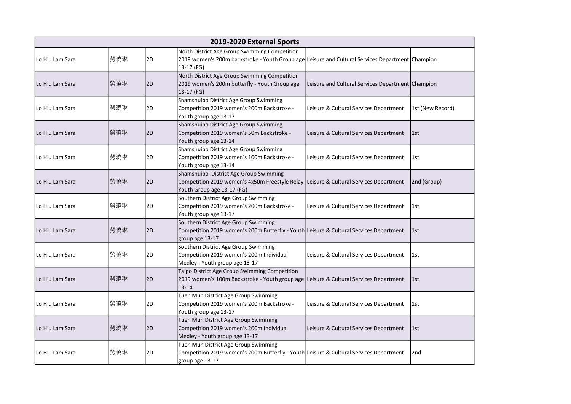|                   | 2019-2020 External Sports |    |                                                                                                                                                                 |                                                     |                  |  |  |
|-------------------|---------------------------|----|-----------------------------------------------------------------------------------------------------------------------------------------------------------------|-----------------------------------------------------|------------------|--|--|
| Lo Hiu Lam Sara   | 勞曉琳                       | 2D | North District Age Group Swimming Competition<br>2019 women's 200m backstroke - Youth Group age Leisure and Cultural Services Department Champion<br>13-17 (FG) |                                                     |                  |  |  |
| Lo Hiu Lam Sara   | 勞曉琳                       | 2D | North District Age Group Swimming Competition<br>2019 women's 200m butterfly - Youth Group age<br>13-17 (FG)                                                    | Leisure and Cultural Services Department   Champion |                  |  |  |
| Lo Hiu Lam Sara   | 勞曉琳                       | 2D | Shamshuipo District Age Group Swimming<br>Competition 2019 women's 200m Backstroke -<br>Youth group age 13-17                                                   | Leisure & Cultural Services Department              | 1st (New Record) |  |  |
| l Lo Hiu Lam Sara | 勞曉琳                       | 2D | Shamshuipo District Age Group Swimming<br>Competition 2019 women's 50m Backstroke -<br>Youth group age 13-14                                                    | Leisure & Cultural Services Department              | 1st              |  |  |
| l Lo Hiu Lam Sara | 勞曉琳                       | 2D | Shamshuipo District Age Group Swimming<br>Competition 2019 women's 100m Backstroke -<br>Youth group age 13-14                                                   | Leisure & Cultural Services Department              | 1st              |  |  |
| Lo Hiu Lam Sara   | 勞曉琳                       | 2D | Shamshuipo District Age Group Swimming<br>Competition 2019 women's 4x50m Freestyle Relay   Leisure & Cultural Services Department<br>Youth Group age 13-17 (FG) |                                                     | 2nd (Group)      |  |  |
| Lo Hiu Lam Sara   | 勞曉琳                       | 2D | Southern District Age Group Swimming<br>Competition 2019 women's 200m Backstroke -<br>Youth group age 13-17                                                     | Leisure & Cultural Services Department              | l 1st            |  |  |
| l Lo Hiu Lam Sara | 勞曉琳                       | 2D | Southern District Age Group Swimming<br>Competition 2019 women's 200m Butterfly - Youth Leisure & Cultural Services Department<br>group age 13-17               |                                                     | l 1st            |  |  |
| lLo Hiu Lam Sara  | 勞曉琳                       | 2D | Southern District Age Group Swimming<br>Competition 2019 women's 200m Individual<br>Medley - Youth group age 13-17                                              | Leisure & Cultural Services Department              | l 1st            |  |  |
| l Lo Hiu Lam Sara | 勞曉琳                       | 2D | Taipo District Age Group Swimming Competition<br>2019 women's 100m Backstroke - Youth group age Leisure & Cultural Services Department<br>$13 - 14$             |                                                     | $\vert$ 1st      |  |  |
| Lo Hiu Lam Sara   | 勞曉琳                       | 2D | Tuen Mun District Age Group Swimming<br>Competition 2019 women's 200m Backstroke -<br>Youth group age 13-17                                                     | Leisure & Cultural Services Department              | 1st              |  |  |
| Lo Hiu Lam Sara   | 勞曉琳                       | 2D | Tuen Mun District Age Group Swimming<br>Competition 2019 women's 200m Individual<br>Medley - Youth group age 13-17                                              | Leisure & Cultural Services Department              | $\vert$ 1st      |  |  |
| Lo Hiu Lam Sara   | 勞曉琳                       | 2D | Tuen Mun District Age Group Swimming<br>Competition 2019 women's 200m Butterfly - Youth Leisure & Cultural Services Department<br>group age 13-17               |                                                     | 2nd              |  |  |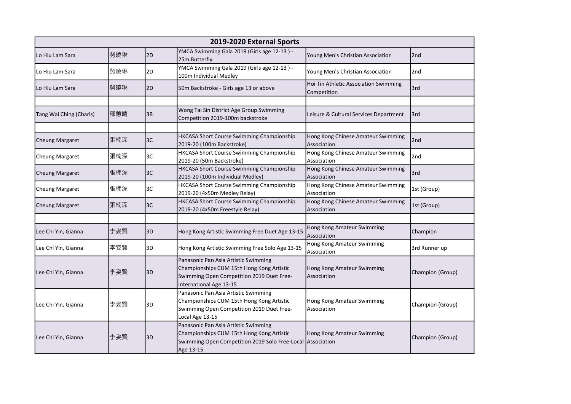|                         | 2019-2020 External Sports |    |                                                                                                                                                              |                                                      |                  |  |  |  |
|-------------------------|---------------------------|----|--------------------------------------------------------------------------------------------------------------------------------------------------------------|------------------------------------------------------|------------------|--|--|--|
| lLo Hiu Lam Sara        | 勞曉琳                       | 2D | YMCA Swimming Gala 2019 (Girls age 12-13) -<br>25m Butterfly                                                                                                 | Young Men's Christian Association                    | 2nd              |  |  |  |
| lLo Hiu Lam Sara        | 勞曉琳                       | 2D | YMCA Swimming Gala 2019 (Girls age 12-13) -<br>100m Individual Medley                                                                                        | Young Men's Christian Association                    | 2nd              |  |  |  |
| Lo Hiu Lam Sara         | 勞曉琳                       | 2D | 50m Backstroke - Girls age 13 or above                                                                                                                       | Hoi Tin Athletic Association Swimming<br>Competition | 3rd              |  |  |  |
|                         |                           |    |                                                                                                                                                              |                                                      |                  |  |  |  |
| Tang Wai Ching (Charis) | 鄧蕙晴                       | 3B | Wong Tai Sin District Age Group Swimming<br>Competition 2019-100m backstroke                                                                                 | Leisure & Cultural Services Department               | 13rd             |  |  |  |
|                         |                           |    |                                                                                                                                                              |                                                      |                  |  |  |  |
| <b>Cheung Margaret</b>  | 張楠深                       | 3C | HKCASA Short Course Swimming Championship<br>2019-20 (100m Backstroke)                                                                                       | Hong Kong Chinese Amateur Swimming<br>Association    | 2nd              |  |  |  |
| Cheung Margaret         | 張楠深                       | 3C | HKCASA Short Course Swimming Championship<br>2019-20 (50m Backstroke)                                                                                        | Hong Kong Chinese Amateur Swimming<br>Association    | 2nd              |  |  |  |
| <b>Cheung Margaret</b>  | 張楠深                       | 3C | HKCASA Short Course Swimming Championship<br>2019-20 (100m Individual Medley)                                                                                | Hong Kong Chinese Amateur Swimming<br>Association    | 3rd              |  |  |  |
| Cheung Margaret         | 張楠深                       | 3C | HKCASA Short Course Swimming Championship<br>2019-20 (4x50m Medley Relay)                                                                                    | Hong Kong Chinese Amateur Swimming<br>Association    | 1st (Group)      |  |  |  |
| <b>Cheung Margaret</b>  | 張楠深                       | 3C | HKCASA Short Course Swimming Championship<br>2019-20 (4x50m Freestyle Relay)                                                                                 | Hong Kong Chinese Amateur Swimming<br>Association    | 1st (Group)      |  |  |  |
|                         |                           |    |                                                                                                                                                              |                                                      |                  |  |  |  |
| Lee Chi Yin, Gianna     | 李姿賢                       | 3D | Hong Kong Artistic Swimming Free Duet Age 13-15                                                                                                              | Hong Kong Amateur Swimming<br>Association            | Champion         |  |  |  |
| Lee Chi Yin, Gianna     | 李姿賢                       | 3D | Hong Kong Artistic Swimming Free Solo Age 13-15                                                                                                              | Hong Kong Amateur Swimming<br>Association            | 3rd Runner up    |  |  |  |
| Lee Chi Yin, Gianna     | 李姿賢                       | 3D | Panasonic Pan Asia Artistic Swimming<br>Championships CUM 15th Hong Kong Artistic<br>Swimming Open Competition 2019 Duet Free-<br>International Age 13-15    | Hong Kong Amateur Swimming<br>Association            | Champion (Group) |  |  |  |
| Lee Chi Yin, Gianna     | 李姿賢                       | 3D | Panasonic Pan Asia Artistic Swimming<br>Championships CUM 15th Hong Kong Artistic<br>Swimming Open Competition 2019 Duet Free-<br>Local Age 13-15            | Hong Kong Amateur Swimming<br>Association            | Champion (Group) |  |  |  |
| Lee Chi Yin, Gianna     | 李姿賢                       | 3D | Panasonic Pan Asia Artistic Swimming<br>Championships CUM 15th Hong Kong Artistic<br>Swimming Open Competition 2019 Solo Free-Local Association<br>Age 13-15 | Hong Kong Amateur Swimming                           | Champion (Group) |  |  |  |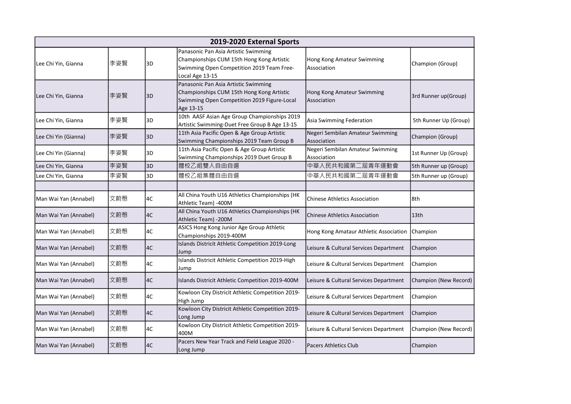|                       | 2019-2020 External Sports |    |                                                                                                                                                   |                                                 |                       |  |  |
|-----------------------|---------------------------|----|---------------------------------------------------------------------------------------------------------------------------------------------------|-------------------------------------------------|-----------------------|--|--|
| Lee Chi Yin, Gianna   | 李姿賢                       | 3D | Panasonic Pan Asia Artistic Swimming<br>Championships CUM 15th Hong Kong Artistic<br>Swimming Open Competition 2019 Team Free-<br>Local Age 13-15 | Hong Kong Amateur Swimming<br>Association       | Champion (Group)      |  |  |
| Lee Chi Yin, Gianna   | 李姿賢                       | 3D | Panasonic Pan Asia Artistic Swimming<br>Championships CUM 15th Hong Kong Artistic<br>Swimming Open Competition 2019 Figure-Local<br>Age 13-15     | Hong Kong Amateur Swimming<br>Association       | 3rd Runner up(Group)  |  |  |
| Lee Chi Yin, Gianna   | 李姿賢                       | 3D | 10th AASF Asian Age Group Championships 2019<br>Artistic Swimming-Duet Free Group B Age 13-15                                                     | Asia Swimming Federation                        | 5th Runner Up (Group) |  |  |
| Lee Chi Yin (Gianna)  | 李姿賢                       | 3D | 11th Asia Pacific Open & Age Group Artistic<br>Swimming Championships 2019 Team Group B                                                           | Negeri Sembilan Amateur Swimming<br>Association | Champion (Group)      |  |  |
| Lee Chi Yin (Gianna)  | 李姿賢                       | 3D | 11th Asia Pacific Open & Age Group Artistic<br>Swimming Championships 2019 Duet Group B                                                           | Negeri Sembilan Amateur Swimming<br>Association | 1st Runner Up (Group) |  |  |
| Lee Chi Yin, Gianna   | 李姿賢                       | 3D | 體校乙組雙人自由自選                                                                                                                                        | 中華人民共和國第二屆青年運動會                                 | 5th Runner up (Group) |  |  |
| Lee Chi Yin, Gianna   | 李姿賢                       | 3D | 體校乙組集體自由自選                                                                                                                                        | 中華人民共和國第二屆青年運動會                                 | 5th Runner up (Group) |  |  |
|                       |                           |    |                                                                                                                                                   |                                                 |                       |  |  |
| Man Wai Yan (Annabel) | 文蔚慇                       | 4C | All China Youth U16 Athletics Championships (HK<br>Athletic Team) -400M                                                                           | <b>Chinese Athletics Association</b>            | 8th                   |  |  |
| Man Wai Yan (Annabel) | 文蔚慇                       | 4C | All China Youth U16 Athletics Championships (HK<br>Athletic Team) -200M                                                                           | <b>Chinese Athletics Association</b>            | 13th                  |  |  |
| Man Wai Yan (Annabel) | 文蔚慇                       | 4C | ASICS Hong Kong Junior Age Group Athletic<br>Championships 2019-400M                                                                              | Hong Kong Amataur Athletic Association          | Champion              |  |  |
| Man Wai Yan (Annabel) | 文蔚慇                       | 4C | Islands Districit Athletic Competition 2019-Long<br>Jump                                                                                          | Leisure & Cultural Services Department          | Champion              |  |  |
| Man Wai Yan (Annabel) | 文蔚慇                       | 4C | Islands Districit Athletic Competition 2019-High<br>Jump                                                                                          | Leisure & Cultural Services Department          | Champion              |  |  |
| Man Wai Yan (Annabel) | 文蔚慇                       | 4C | Islands Districit Athletic Competition 2019-400M                                                                                                  | Leisure & Cultural Services Department          | Champion (New Record) |  |  |
| Man Wai Yan (Annabel) | 文蔚慇                       | 4C | Kowloon City Districit Athletic Competition 2019-<br>High Jump                                                                                    | Leisure & Cultural Services Department          | Champion              |  |  |
| Man Wai Yan (Annabel) | 文蔚慇                       | 4C | Kowloon City Districit Athletic Competition 2019-<br>Long Jump                                                                                    | Leisure & Cultural Services Department          | Champion              |  |  |
| Man Wai Yan (Annabel) | 文蔚慇                       | 4C | Kowloon City Districit Athletic Competition 2019-<br>400M                                                                                         | Leisure & Cultural Services Department          | Champion (New Record) |  |  |
| Man Wai Yan (Annabel) | 文蔚慇                       | 4C | Pacers New Year Track and Field League 2020 -<br>Long Jump                                                                                        | <b>Pacers Athletics Club</b>                    | Champion              |  |  |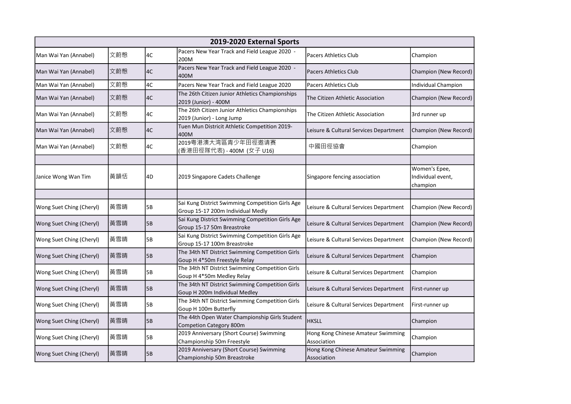|                          | 2019-2020 External Sports |    |                                                                                       |                                                   |                                                |  |  |  |
|--------------------------|---------------------------|----|---------------------------------------------------------------------------------------|---------------------------------------------------|------------------------------------------------|--|--|--|
| Man Wai Yan (Annabel)    | 文蔚慇                       | 4C | Pacers New Year Track and Field League 2020 -<br>200M                                 | <b>Pacers Athletics Club</b>                      | Champion                                       |  |  |  |
| Man Wai Yan (Annabel)    | 文蔚慇                       | 4C | Pacers New Year Track and Field League 2020 -<br>400M                                 | <b>Pacers Athletics Club</b>                      | Champion (New Record)                          |  |  |  |
| Man Wai Yan (Annabel)    | 文蔚慇                       | 4C | Pacers New Year Track and Field League 2020                                           | <b>Pacers Athletics Club</b>                      | Individual Champion                            |  |  |  |
| Man Wai Yan (Annabel)    | 文蔚慇                       | 4C | The 26th Citizen Junior Athletics Championships<br>2019 (Junior) - 400M               | The Citizen Athletic Association                  | Champion (New Record)                          |  |  |  |
| Man Wai Yan (Annabel)    | 文蔚慇                       | 4C | The 26th Citizen Junior Athletics Championships<br>2019 (Junior) - Long Jump          | The Citizen Athletic Association                  | 3rd runner up                                  |  |  |  |
| Man Wai Yan (Annabel)    | 文蔚慇                       | 4C | Tuen Mun Districit Athletic Competition 2019-<br>400M                                 | Leisure & Cultural Services Department            | Champion (New Record)                          |  |  |  |
| Man Wai Yan (Annabel)    | 文蔚慇                       | 4C | 2019粤港澳大湾區青少年田徑邀请赛<br>(香港田徑隊代表) - 400M (女子 U16)                                       | 中國田徑協會                                            | Champion                                       |  |  |  |
|                          |                           |    |                                                                                       |                                                   |                                                |  |  |  |
| Janice Wong Wan Tim      | 黃韻恬                       | 4D | 2019 Singapore Cadets Challenge                                                       | Singapore fencing association                     | Women's Epee,<br>Individual event,<br>champion |  |  |  |
|                          |                           |    |                                                                                       |                                                   |                                                |  |  |  |
| Wong Suet Ching (Cheryl) | 黃雪晴                       | 5B | Sai Kung District Swimming Competition Girls Age<br>Group 15-17 200m Individual Medly | Leisure & Cultural Services Department            | Champion (New Record)                          |  |  |  |
| Wong Suet Ching (Cheryl) | 黃雪晴                       | 5B | Sai Kung District Swimming Competition Girls Age<br>Group 15-17 50m Breastroke        | Leisure & Cultural Services Department            | Champion (New Record)                          |  |  |  |
| Wong Suet Ching (Cheryl) | 黃雪晴                       | 5B | Sai Kung District Swimming Competition Girls Age<br>Group 15-17 100m Breastroke       | Leisure & Cultural Services Department            | Champion (New Record)                          |  |  |  |
| Wong Suet Ching (Cheryl) | 黃雪晴                       | 5B | The 34th NT District Swimming Competition Girls<br>Goup H 4*50m Freestyle Relay       | Leisure & Cultural Services Department            | Champion                                       |  |  |  |
| Wong Suet Ching (Cheryl) | 黃雪晴                       | 5B | The 34th NT District Swimming Competition Girls<br>Goup H 4*50m Medley Relay          | Leisure & Cultural Services Department            | Champion                                       |  |  |  |
| Wong Suet Ching (Cheryl) | 黃雪晴                       | 5B | The 34th NT District Swimming Competition Girls<br>Goup H 200m Individual Medley      | Leisure & Cultural Services Department            | First-runner up                                |  |  |  |
| Wong Suet Ching (Cheryl) | 黃雪晴                       | 5B | The 34th NT District Swimming Competition Girls<br>Goup H 100m Butterfly              | Leisure & Cultural Services Department            | First-runner up                                |  |  |  |
| Wong Suet Ching (Cheryl) | 黃雪晴                       | 5B | The 44th Open Water Championship Girls Student<br>Competion Category 800m             | <b>HKSLL</b>                                      | Champion                                       |  |  |  |
| Wong Suet Ching (Cheryl) | 黃雪晴                       | 5B | 2019 Anniversary (Short Course) Swimming<br>Championship 50m Freestyle                | Hong Kong Chinese Amateur Swimming<br>Association | Champion                                       |  |  |  |
| Wong Suet Ching (Cheryl) | 黃雪晴                       | 5B | 2019 Anniversary (Short Course) Swimming<br>Championship 50m Breastroke               | Hong Kong Chinese Amateur Swimming<br>Association | Champion                                       |  |  |  |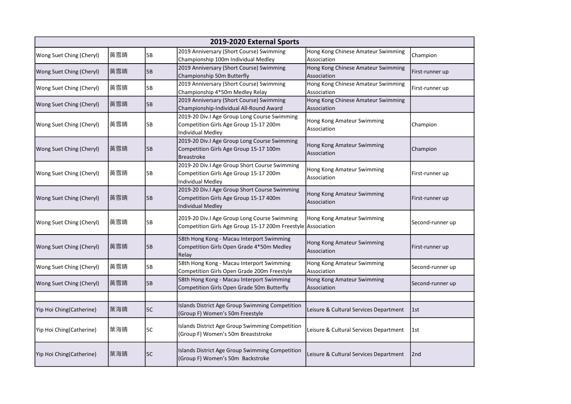| 2019-2020 External Sports |     |    |                                                                                                                    |                                                   |                  |  |  |
|---------------------------|-----|----|--------------------------------------------------------------------------------------------------------------------|---------------------------------------------------|------------------|--|--|
| Wong Suet Ching (Cheryl)  | 黃雪晴 | 5B | 2019 Anniversary (Short Course) Swimming<br>Championship 100m Individual Medley                                    | Hong Kong Chinese Amateur Swimming<br>Association | Champion         |  |  |
| Wong Suet Ching (Cheryl)  | 黃雪晴 | 5B | 2019 Anniversary (Short Course) Swimming<br>Championship 50m Butterfly                                             | Hong Kong Chinese Amateur Swimming<br>Association | First-runner up  |  |  |
| Wong Suet Ching (Cheryl)  | 黃雪晴 | 5B | 2019 Anniversary (Short Course) Swimming<br>Championship 4*50m Medley Relay                                        | Hong Kong Chinese Amateur Swimming<br>Association | First-runner up  |  |  |
| Wong Suet Ching (Cheryl)  | 黃雪晴 | 5B | 2019 Anniversary (Short Course) Swimming<br>Championship-Individual All-Round Award                                | Hong Kong Chinese Amateur Swimming<br>Association |                  |  |  |
| Wong Suet Ching (Cheryl)  | 黃雪晴 | 5B | 2019-20 Div.I Age Group Long Course Swimming<br>Competition Girls Age Group 15-17 200m<br><b>Individual Medley</b> | Hong Kong Amateur Swimming<br>Association         | Champion         |  |  |
| Wong Suet Ching (Cheryl)  | 黃雪晴 | 5B | 2019-20 Div.I Age Group Long Course Swimming<br>Competition Girls Age Group 15-17 100m<br><b>Breastroke</b>        | Hong Kong Amateur Swimming<br>Association         | Champion         |  |  |
| Wong Suet Ching (Cheryl)  | 黃雪晴 | 5В | 2019-20 Div.I Age Group Short Course Swimming<br>Competition Girls Age Group 15-17 200m<br>Individual Medley       | Hong Kong Amateur Swimming<br>Association         | First-runner up  |  |  |
| Wong Suet Ching (Cheryl)  | 黃雪晴 | 5B | 2019-20 Div.I Age Group Short Course Swimming<br>Competition Girls Age Group 15-17 400m<br>Individual Medley       | Hong Kong Amateur Swimming<br>Association         | First-runner up  |  |  |
| Wong Suet Ching (Cheryl)  | 黃雪晴 | 5B | 2019-20 Div.I Age Group Long Course Swimming<br>Competition Girls Age Group 15-17 200m Freestyle Association       | Hong Kong Amateur Swimming                        | Second-runner up |  |  |
| Wong Suet Ching (Cheryl)  | 黃雪晴 | 5B | 58th Hong Kong - Macau Interport Swimming<br>Competition Girls Open Grade 4*50m Medley<br>Relay                    | Hong Kong Amateur Swimming<br>Association         | First-runner up  |  |  |
| Wong Suet Ching (Cheryl)  | 黃雪晴 | 5B | 58th Hong Kong - Macau Interport Swimming<br>Competition Girls Open Grade 200m Freestyle                           | Hong Kong Amateur Swimming<br>Association         | Second-runner up |  |  |
| Wong Suet Ching (Cheryl)  | 黃雪晴 | 5B | 58th Hong Kong - Macau Interport Swimming<br>Competition Girls Open Grade 50m Butterfly                            | Hong Kong Amateur Swimming<br>Association         | Second-runner up |  |  |
|                           |     |    |                                                                                                                    |                                                   |                  |  |  |
| Yip Hoi Ching(Catherine)  | 葉海晴 | 5C | Islands District Age Group Swimming Competition<br>(Group F) Women's 50m Freestyle                                 | Leisure & Cultural Services Department            | 1st              |  |  |
| Yip Hoi Ching(Catherine)  | 葉海晴 | 5C | Islands District Age Group Swimming Competition<br>(Group F) Women's 50m Breaststroke                              | Leisure & Cultural Services Department            | 1st              |  |  |
| Yip Hoi Ching(Catherine)  | 葉海晴 | 5C | Islands District Age Group Swimming Competition<br>(Group F) Women's 50m Backstroke                                | Leisure & Cultural Services Department            | 2nd              |  |  |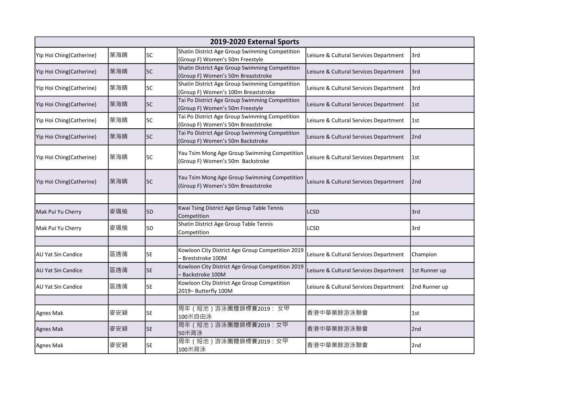|                           | 2019-2020 External Sports |           |                                                                                       |                                        |                 |  |  |  |
|---------------------------|---------------------------|-----------|---------------------------------------------------------------------------------------|----------------------------------------|-----------------|--|--|--|
| Yip Hoi Ching(Catherine)  | 葉海晴                       | 5C        | Shatin District Age Group Swimming Competition<br>(Group F) Women's 50m Freestyle     | Leisure & Cultural Services Department | l3rd            |  |  |  |
| Yip Hoi Ching(Catherine)  | 葉海晴                       | 5C        | Shatin District Age Group Swimming Competition<br>(Group F) Women's 50m Breaststroke  | Leisure & Cultural Services Department | 3rd             |  |  |  |
| Yip Hoi Ching(Catherine)  | 葉海晴                       | 5C        | Shatin District Age Group Swimming Competition<br>(Group F) Women's 100m Breaststroke | Leisure & Cultural Services Department | 3rd             |  |  |  |
| Yip Hoi Ching(Catherine)  | 葉海晴                       | <b>5C</b> | Tai Po District Age Group Swimming Competition<br>(Group F) Women's 50m Freestyle     | Leisure & Cultural Services Department | 1st             |  |  |  |
| Yip Hoi Ching(Catherine)  | 葉海晴                       | 5C        | Tai Po District Age Group Swimming Competition<br>(Group F) Women's 50m Breaststroke  | Leisure & Cultural Services Department | 1st             |  |  |  |
| Yip Hoi Ching(Catherine)  | 葉海晴                       | 5C        | Tai Po District Age Group Swimming Competition<br>(Group F) Women's 50m Backstroke    | Leisure & Cultural Services Department | 2nd             |  |  |  |
| Yip Hoi Ching(Catherine)  | 葉海晴                       | 5C        | Yau Tsim Mong Age Group Swimming Competition<br>(Group F) Women's 50m Backstroke      | Leisure & Cultural Services Department | l 1st           |  |  |  |
| Yip Hoi Ching (Catherine) | 葉海晴                       | 5C        | Yau Tsim Mong Age Group Swimming Competition<br>(Group F) Women's 50m Breaststroke    | Leisure & Cultural Services Department | 2 <sub>nd</sub> |  |  |  |
|                           |                           |           |                                                                                       |                                        |                 |  |  |  |
| Mak Pui Yu Cherry         | 麥珮榆                       | 5D        | Kwai Tsing District Age Group Table Tennis<br>Competition                             | LCSD                                   | 3rd             |  |  |  |
| Mak Pui Yu Cherry         | 麥珮榆                       | 5D        | Shatin District Age Group Table Tennis<br>Competition                                 | LCSD                                   | 3rd             |  |  |  |
|                           |                           |           |                                                                                       |                                        |                 |  |  |  |
| IAU Yat Sin Candice       | 區逸蒨                       | 5E        | Kowloon City District Age Group Competition 2019<br>- Breststroke 100M                | Leisure & Cultural Services Department | Champion        |  |  |  |
| <b>AU Yat Sin Candice</b> | 區逸蒨                       | <b>5E</b> | Kowloon City District Age Group Competition 2019<br>Backstroke 100M                   | Leisure & Cultural Services Department | 1st Runner up   |  |  |  |
| AU Yat Sin Candice        | 區逸蒨                       | 5E        | Kowloon City District Age Group Competition<br>2019- Butterfly 100M                   | Leisure & Cultural Services Department | 2nd Runner up   |  |  |  |
|                           |                           |           |                                                                                       |                                        |                 |  |  |  |
| Agnes Mak                 | 麥安穎                       | <b>5E</b> | 周年 (短池)游泳團體錦標賽2019: 女甲<br>100米自由泳                                                     | 香港中華業餘游泳聯會                             | 1st             |  |  |  |
| <b>Agnes Mak</b>          | 麥安穎                       | <b>5E</b> | 周年(短池)游泳團體錦標賽2019:女甲<br>50米背泳                                                         | 香港中華業餘游泳聯會                             | 2nd             |  |  |  |
| Agnes Mak                 | 麥安穎                       | 5E        | 周年 (短池)游泳團體錦標賽2019: 女甲<br>100米背泳                                                      | 香港中華業餘游泳聯會                             | 2nd             |  |  |  |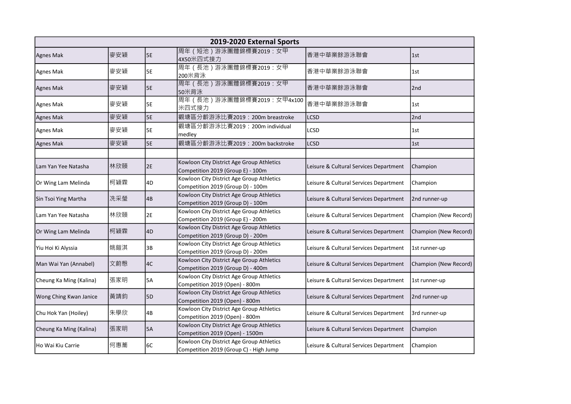| 2019-2020 External Sports |     |                 |                                                                                     |                                        |                       |  |  |
|---------------------------|-----|-----------------|-------------------------------------------------------------------------------------|----------------------------------------|-----------------------|--|--|
| Agnes Mak                 | 麥安穎 | 5E              | 周年 (短池)游泳團體錦標賽2019: 女甲<br>4X50米四式接力                                                 | 香港中華業餘游泳聯會                             | 1st                   |  |  |
| Agnes Mak                 | 麥安穎 | 5E              | 周年 (長池) 游泳團體錦標賽2019: 女甲<br>200米背泳                                                   | 香港中華業餘游泳聯會                             | 1st                   |  |  |
| <b>Agnes Mak</b>          | 麥安穎 | <b>5E</b>       | 周年(長池)游泳團體錦標賽2019:女甲<br>50米背泳                                                       | 香港中華業餘游泳聯會                             | 2nd                   |  |  |
| Agnes Mak                 | 麥安穎 | <b>5E</b>       | 周年 (長池) 游泳團體錦標賽2019: 女甲4x100<br>米四式接力                                               | 香港中華業餘游泳聯會                             | 1st                   |  |  |
| Agnes Mak                 | 麥安穎 | <b>5E</b>       | 觀塘區分齡游泳比賽2019: 200m breastroke                                                      | <b>LCSD</b>                            | 2nd                   |  |  |
| Agnes Mak                 | 麥安穎 | 5E              | 觀塘區分齡游泳比賽2019: 200m individual<br>medley                                            | LCSD                                   | 1st                   |  |  |
| Agnes Mak                 | 麥安穎 | 5E              | 觀塘區分齡游泳比賽2019: 200m backstroke                                                      | LCSD                                   | 1st                   |  |  |
|                           |     |                 |                                                                                     |                                        |                       |  |  |
| Lam Yan Yee Natasha       | 林欣頤 | 2E              | Kowloon City District Age Group Athletics<br>Competition 2019 (Group E) - 100m      | Leisure & Cultural Services Department | Champion              |  |  |
| Or Wing Lam Melinda       | 柯穎霖 | 4D              | Kowloon City District Age Group Athletics<br>Competition 2019 (Group D) - 100m      | Leisure & Cultural Services Department | Champion              |  |  |
| Sin Tsoi Ying Martha      | 洗采瑩 | $\overline{AB}$ | Kowloon City District Age Group Athletics<br>Competition 2019 (Group D) - 100m      | Leisure & Cultural Services Department | 2nd runner-up         |  |  |
| Lam Yan Yee Natasha       | 林欣頤 | 2E              | Kowloon City District Age Group Athletics<br>Competition 2019 (Group E) - 200m      | Leisure & Cultural Services Department | Champion (New Record) |  |  |
| Or Wing Lam Melinda       | 柯穎霖 | 4D              | Kowloon City District Age Group Athletics<br>Competition 2019 (Group D) - 200m      | Leisure & Cultural Services Department | Champion (New Record) |  |  |
| Yiu Hoi Ki Alyssia        | 姚鎧淇 | 3B              | Kowloon City District Age Group Athletics<br>Competition 2019 (Group D) - 200m      | Leisure & Cultural Services Department | 1st runner-up         |  |  |
| Man Wai Yan (Annabel)     | 文蔚慇 | 4C              | Kowloon City District Age Group Athletics<br>Competition 2019 (Group D) - 400m      | Leisure & Cultural Services Department | Champion (New Record) |  |  |
| Cheung Ka Ming (Kalina)   | 張家明 | 5A              | Kowloon City District Age Group Athletics<br>Competition 2019 (Open) - 800m         | Leisure & Cultural Services Department | 1st runner-up         |  |  |
| Wong Ching Kwan Janice    | 黃靖鈞 | 5 <sub>D</sub>  | Kowloon City District Age Group Athletics<br>Competition 2019 (Open) - 800m         | Leisure & Cultural Services Department | 2nd runner-up         |  |  |
| Chu Hok Yan (Hoiley)      | 朱學欣 | 4B              | Kowloon City District Age Group Athletics<br>Competition 2019 (Open) - 800m         | Leisure & Cultural Services Department | 3rd runner-up         |  |  |
| Cheung Ka Ming (Kalina)   | 張家明 | 5A              | Kowloon City District Age Group Athletics<br>Competition 2019 (Open) - 1500m        | Leisure & Cultural Services Department | Champion              |  |  |
| Ho Wai Kiu Carrie         | 何惠蕎 | 6C              | Kowloon City District Age Group Athletics<br>Competition 2019 (Group C) - High Jump | Leisure & Cultural Services Department | Champion              |  |  |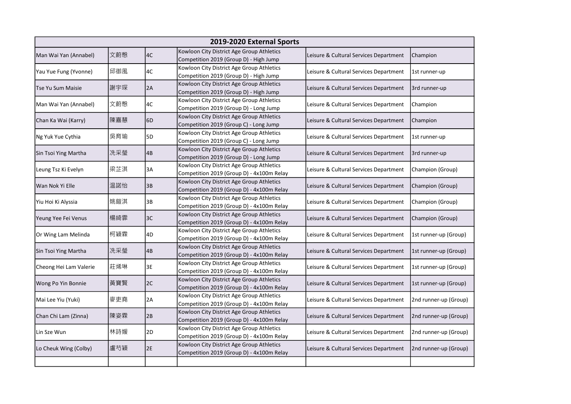| 2019-2020 External Sports |     |                |                                                                                        |                                        |                       |  |  |
|---------------------------|-----|----------------|----------------------------------------------------------------------------------------|----------------------------------------|-----------------------|--|--|
| Man Wai Yan (Annabel)     | 文蔚慇 | 4C             | Kowloon City District Age Group Athletics<br>Competition 2019 (Group D) - High Jump    | Leisure & Cultural Services Department | Champion              |  |  |
| Yau Yue Fung (Yvonne)     | 邱御風 | 4C             | Kowloon City District Age Group Athletics<br>Competition 2019 (Group D) - High Jump    | Leisure & Cultural Services Department | 1st runner-up         |  |  |
| Tse Yu Sum Maisie         | 謝宇琛 | 2A             | Kowloon City District Age Group Athletics<br>Competition 2019 (Group D) - High Jump    | Leisure & Cultural Services Department | 3rd runner-up         |  |  |
| Man Wai Yan (Annabel)     | 文蔚慇 | 4C             | Kowloon City District Age Group Athletics<br>Competition 2019 (Group D) - Long Jump    | Leisure & Cultural Services Department | Champion              |  |  |
| Chan Ka Wai (Karry)       | 陳嘉慧 | 6 <sub>D</sub> | Kowloon City District Age Group Athletics<br>Competition 2019 (Group C) - Long Jump    | Leisure & Cultural Services Department | Champion              |  |  |
| Ng Yuk Yue Cythia         | 吳育瑜 | 5 <sub>D</sub> | Kowloon City District Age Group Athletics<br>Competition 2019 (Group C) - Long Jump    | Leisure & Cultural Services Department | 1st runner-up         |  |  |
| Sin Tsoi Ying Martha      | 洗采瑩 | 4B             | Kowloon City District Age Group Athletics<br>Competition 2019 (Group D) - Long Jump    | Leisure & Cultural Services Department | 3rd runner-up         |  |  |
| Leung Tsz Ki Evelyn       | 梁芷淇 | 3A             | Kowloon City District Age Group Athletics<br>Competition 2019 (Group D) - 4x100m Relay | Leisure & Cultural Services Department | Champion (Group)      |  |  |
| Wan Nok Yi Elle           | 温諾怡 | 3B             | Kowloon City District Age Group Athletics<br>Competition 2019 (Group D) - 4x100m Relay | Leisure & Cultural Services Department | Champion (Group)      |  |  |
| Yiu Hoi Ki Alyssia        | 姚鎧淇 | 3B             | Kowloon City District Age Group Athletics<br>Competition 2019 (Group D) - 4x100m Relay | Leisure & Cultural Services Department | Champion (Group)      |  |  |
| Yeung Yee Fei Venus       | 楊綺霏 | 3C             | Kowloon City District Age Group Athletics<br>Competition 2019 (Group D) - 4x100m Relay | Leisure & Cultural Services Department | Champion (Group)      |  |  |
| Or Wing Lam Melinda       | 柯穎霖 | 4D             | Kowloon City District Age Group Athletics<br>Competition 2019 (Group D) - 4x100m Relay | Leisure & Cultural Services Department | 1st runner-up (Group) |  |  |
| Sin Tsoi Ying Martha      | 洗采瑩 | 4B             | Kowloon City District Age Group Athletics<br>Competition 2019 (Group D) - 4x100m Relay | Leisure & Cultural Services Department | 1st runner-up (Group) |  |  |
| Cheong Hei Lam Valerie    | 莊烯琳 | 3E             | Kowloon City District Age Group Athletics<br>Competition 2019 (Group D) - 4x100m Relay | Leisure & Cultural Services Department | 1st runner-up (Group) |  |  |
| Wong Po Yin Bonnie        | 黃寶賢 | 2C             | Kowloon City District Age Group Athletics<br>Competition 2019 (Group D) - 4x100m Relay | Leisure & Cultural Services Department | 1st runner-up (Group) |  |  |
| Mai Lee Yiu (Yuki)        | 麥吏堯 | 2A             | Kowloon City District Age Group Athletics<br>Competition 2019 (Group D) - 4x100m Relay | Leisure & Cultural Services Department | 2nd runner-up (Group) |  |  |
| Chan Chi Lam (Zinna)      | 陳姿霖 | 2B             | Kowloon City District Age Group Athletics<br>Competition 2019 (Group D) - 4x100m Relay | Leisure & Cultural Services Department | 2nd runner-up (Group) |  |  |
| Lin Sze Wun               | 林詩媛 | 2D             | Kowloon City District Age Group Athletics<br>Competition 2019 (Group D) - 4x100m Relay | Leisure & Cultural Services Department | 2nd runner-up (Group) |  |  |
| Lo Cheuk Wing (Colby)     | 盧芍穎 | 2E             | Kowloon City District Age Group Athletics<br>Competition 2019 (Group D) - 4x100m Relay | Leisure & Cultural Services Department | 2nd runner-up (Group) |  |  |
|                           |     |                |                                                                                        |                                        |                       |  |  |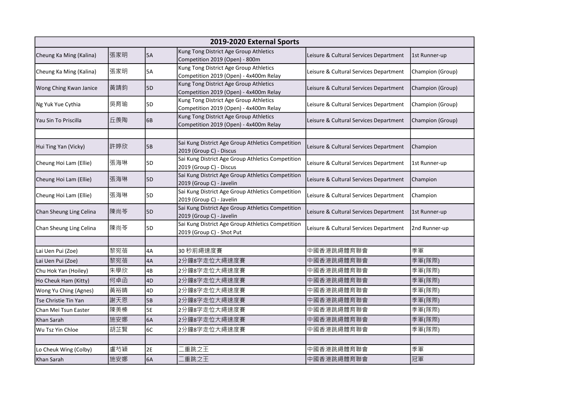|                         | 2019-2020 External Sports |                |                                                                                  |                                        |                  |  |  |  |
|-------------------------|---------------------------|----------------|----------------------------------------------------------------------------------|----------------------------------------|------------------|--|--|--|
| Cheung Ka Ming (Kalina) | 張家明                       | 5A             | Kung Tong District Age Group Athletics<br>Competition 2019 (Open) - 800m         | Leisure & Cultural Services Department | 1st Runner-up    |  |  |  |
| Cheung Ka Ming (Kalina) | 張家明                       | <b>5A</b>      | Kung Tong District Age Group Athletics<br>Competition 2019 (Open) - 4x400m Relay | Leisure & Cultural Services Department | Champion (Group) |  |  |  |
| Wong Ching Kwan Janice  | 黃靖鈞                       | 5 <sub>D</sub> | Kung Tong District Age Group Athletics<br>Competition 2019 (Open) - 4x400m Relay | Leisure & Cultural Services Department | Champion (Group) |  |  |  |
| Ng Yuk Yue Cythia       | 吳育瑜                       | 5D             | Kung Tong District Age Group Athletics<br>Competition 2019 (Open) - 4x400m Relay | Leisure & Cultural Services Department | Champion (Group) |  |  |  |
| Yau Sin To Priscilla    | 丘羨陶                       | 6B             | Kung Tong District Age Group Athletics<br>Competition 2019 (Open) - 4x400m Relay | Leisure & Cultural Services Department | Champion (Group) |  |  |  |
| Hui Ting Yan (Vicky)    | 許婷欣                       | 5B             | Sai Kung District Age Group Athletics Competition<br>2019 (Group C) - Discus     | Leisure & Cultural Services Department | Champion         |  |  |  |
| Cheung Hoi Lam (Ellie)  | 張海琳                       | 5 <sub>D</sub> | Sai Kung District Age Group Athletics Competition<br>2019 (Group C) - Discus     | Leisure & Cultural Services Department | 1st Runner-up    |  |  |  |
| Cheung Hoi Lam (Ellie)  | 張海琳                       | 5D             | Sai Kung District Age Group Athletics Competition<br>2019 (Group C) - Javelin    | Leisure & Cultural Services Department | Champion         |  |  |  |
| Cheung Hoi Lam (Ellie)  | 張海琳                       | 5D             | Sai Kung District Age Group Athletics Competition<br>2019 (Group C) - Javelin    | Leisure & Cultural Services Department | Champion         |  |  |  |
| Chan Sheung Ling Celina | 陳尚苓                       | 5D             | Sai Kung District Age Group Athletics Competition<br>2019 (Group C) - Javelin    | Leisure & Cultural Services Department | 1st Runner-up    |  |  |  |
| Chan Sheung Ling Celina | 陳尚苓                       | 5D             | Sai Kung District Age Group Athletics Competition<br>2019 (Group C) - Shot Put   | Leisure & Cultural Services Department | 2nd Runner-up    |  |  |  |
|                         |                           |                |                                                                                  |                                        |                  |  |  |  |
| Lai Uen Pui (Zoe)       | 黎宛蓓                       | 4A             | 30 秒前繩速度賽                                                                        | 中國香港跳繩體育聯會                             | 季軍               |  |  |  |
| Lai Uen Pui (Zoe)       | 黎宛蓓                       | 4A             | 2分鐘8字走位大繩速度賽                                                                     | 中國香港跳繩體育聯會                             | 季軍(隊際)           |  |  |  |
| Chu Hok Yan (Hoiley)    | 朱學欣                       | 4B             | 2分鐘8字走位大繩速度賽                                                                     | 中國香港跳繩體育聯會                             | 季軍(隊際)           |  |  |  |
| Ho Cheuk Ham (Kitty)    | 何卓函                       | 4D             | 2分鐘8字走位大繩速度賽                                                                     | 中國香港跳繩體育聯會                             | 季軍(隊際)           |  |  |  |
| Wong Yu Ching (Agnes)   | 黃裕晴                       | 4D             | 2分鐘8字走位大繩速度賽                                                                     | 中國香港跳繩體育聯會                             | 季軍(隊際)           |  |  |  |
| Tse Christie Tin Yan    | 謝天恩                       | 5B             | 2分鐘8字走位大繩速度賽                                                                     | 中國香港跳繩體育聯會                             | 季軍(隊際)           |  |  |  |
| Chan Mei Tsun Easter    | 陳美榛                       | <b>5E</b>      | 2分鐘8字走位大繩速度賽                                                                     | 中國香港跳繩體育聯會                             | 季軍(隊際)           |  |  |  |
| Khan Sarah              | 施安娜                       | 6A             | 2分鐘8字走位大繩速度賽                                                                     | 中國香港跳繩體育聯會                             | 季軍(隊際)           |  |  |  |
| Wu Tsz Yin Chloe        | 胡芷賢                       | 6C             | 2分鐘8字走位大繩速度賽                                                                     | 中國香港跳繩體育聯會                             | 季軍(隊際)           |  |  |  |
|                         |                           |                |                                                                                  |                                        |                  |  |  |  |
| Lo Cheuk Wing (Colby)   | 盧芍穎                       | 2E             | 重跳之王                                                                             | 中國香港跳繩體育聯會                             | 季軍               |  |  |  |
| Khan Sarah              | 施安娜                       | 6A             | 重跳之王                                                                             | 中國香港跳繩體育聯會                             | 冠軍               |  |  |  |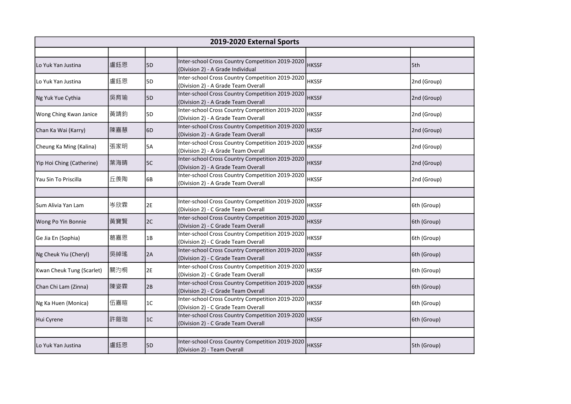|                           | 2019-2020 External Sports |                |                                                                                         |              |             |  |  |  |
|---------------------------|---------------------------|----------------|-----------------------------------------------------------------------------------------|--------------|-------------|--|--|--|
|                           |                           |                |                                                                                         |              |             |  |  |  |
| Lo Yuk Yan Justina        | 盧鈺恩                       | 5 <sub>D</sub> | Inter-school Cross Country Competition 2019-2020<br>(Division 2) - A Grade Individual   | <b>HKSSF</b> | 5th         |  |  |  |
| Lo Yuk Yan Justina        | 盧鈺恩                       | 5D             | Inter-school Cross Country Competition 2019-2020<br>(Division 2) - A Grade Team Overall | <b>HKSSF</b> | 2nd (Group) |  |  |  |
| Ng Yuk Yue Cythia         | 吳育瑜                       | 5 <sub>D</sub> | Inter-school Cross Country Competition 2019-2020<br>(Division 2) - A Grade Team Overall | <b>HKSSF</b> | 2nd (Group) |  |  |  |
| Wong Ching Kwan Janice    | 黃靖鈞                       | 5D             | Inter-school Cross Country Competition 2019-2020<br>(Division 2) - A Grade Team Overall | <b>HKSSF</b> | 2nd (Group) |  |  |  |
| Chan Ka Wai (Karry)       | 陳嘉慧                       | 6D             | Inter-school Cross Country Competition 2019-2020<br>(Division 2) - A Grade Team Overall | <b>HKSSF</b> | 2nd (Group) |  |  |  |
| Cheung Ka Ming (Kalina)   | 張家明                       | 5A             | Inter-school Cross Country Competition 2019-2020<br>(Division 2) - A Grade Team Overall | <b>HKSSF</b> | 2nd (Group) |  |  |  |
| Yip Hoi Ching (Catherine) | 葉海晴                       | 5C             | Inter-school Cross Country Competition 2019-2020<br>(Division 2) - A Grade Team Overall | <b>HKSSF</b> | 2nd (Group) |  |  |  |
| Yau Sin To Priscilla      | 丘羨陶                       | 6B             | Inter-school Cross Country Competition 2019-2020<br>(Division 2) - A Grade Team Overall | <b>HKSSF</b> | 2nd (Group) |  |  |  |
|                           |                           |                |                                                                                         |              |             |  |  |  |
| Sum Alivia Yan Lam        | 岑欣霖                       | 2E             | Inter-school Cross Country Competition 2019-2020<br>(Division 2) - C Grade Team Overall | <b>HKSSF</b> | 6th (Group) |  |  |  |
| Wong Po Yin Bonnie        | 黃寶賢                       | 2C             | Inter-school Cross Country Competition 2019-2020<br>(Division 2) - C Grade Team Overall | <b>HKSSF</b> | 6th (Group) |  |  |  |
| Ge Jia En (Sophia)        | 葛嘉恩                       | 1B             | Inter-school Cross Country Competition 2019-2020<br>(Division 2) - C Grade Team Overall | <b>HKSSF</b> | 6th (Group) |  |  |  |
| Ng Cheuk Yiu (Cheryl)     | 吳綽瑤                       | 2A             | Inter-school Cross Country Competition 2019-2020<br>(Division 2) - C Grade Team Overall | <b>HKSSF</b> | 6th (Group) |  |  |  |
| Kwan Cheuk Tung (Scarlet) | 關汋桐                       | 2E             | Inter-school Cross Country Competition 2019-2020<br>(Division 2) - C Grade Team Overall | <b>HKSSF</b> | 6th (Group) |  |  |  |
| Chan Chi Lam (Zinna)      | 陳姿霖                       | 2B             | Inter-school Cross Country Competition 2019-2020<br>(Division 2) - C Grade Team Overall | <b>HKSSF</b> | 6th (Group) |  |  |  |
| Ng Ka Huen (Monica)       | 伍嘉暄                       | 1C             | Inter-school Cross Country Competition 2019-2020<br>(Division 2) - C Grade Team Overall | <b>HKSSF</b> | 6th (Group) |  |  |  |
| Hui Cyrene                | 許鎧珈                       | 1C             | Inter-school Cross Country Competition 2019-2020<br>(Division 2) - C Grade Team Overall | <b>HKSSF</b> | 6th (Group) |  |  |  |
|                           |                           |                |                                                                                         |              |             |  |  |  |
| Lo Yuk Yan Justina        | 盧鈺恩                       | 5D             | Inter-school Cross Country Competition 2019-2020<br>(Division 2) - Team Overall         | <b>HKSSF</b> | 5th (Group) |  |  |  |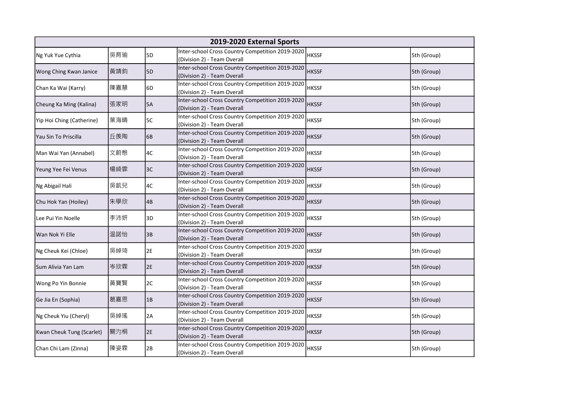|                           | 2019-2020 External Sports |    |                                                                                 |              |             |  |  |  |
|---------------------------|---------------------------|----|---------------------------------------------------------------------------------|--------------|-------------|--|--|--|
| Ng Yuk Yue Cythia         | 吳育瑜                       | 5D | Inter-school Cross Country Competition 2019-2020<br>(Division 2) - Team Overall | HKSSF        | 5th (Group) |  |  |  |
| Wong Ching Kwan Janice    | 黃靖鈞                       | 5D | Inter-school Cross Country Competition 2019-2020<br>(Division 2) - Team Overall | <b>HKSSF</b> | 5th (Group) |  |  |  |
| Chan Ka Wai (Karry)       | 陳嘉慧                       | 6D | Inter-school Cross Country Competition 2019-2020<br>(Division 2) - Team Overall | <b>HKSSF</b> | 5th (Group) |  |  |  |
| Cheung Ka Ming (Kalina)   | 張家明                       | 5A | Inter-school Cross Country Competition 2019-2020<br>(Division 2) - Team Overall | <b>HKSSF</b> | 5th (Group) |  |  |  |
| Yip Hoi Ching (Catherine) | 葉海晴                       | 5C | Inter-school Cross Country Competition 2019-2020<br>(Division 2) - Team Overall | <b>HKSSF</b> | 5th (Group) |  |  |  |
| Yau Sin To Priscilla      | 丘羨陶                       | 6B | Inter-school Cross Country Competition 2019-2020<br>(Division 2) - Team Overall | <b>HKSSF</b> | 5th (Group) |  |  |  |
| Man Wai Yan (Annabel)     | 文蔚慇                       | 4C | Inter-school Cross Country Competition 2019-2020<br>(Division 2) - Team Overall | <b>HKSSF</b> | 5th (Group) |  |  |  |
| Yeung Yee Fei Venus       | 楊綺霏                       | 3C | Inter-school Cross Country Competition 2019-2020<br>(Division 2) - Team Overall | <b>HKSSF</b> | 5th (Group) |  |  |  |
| Ng Abigail Hali           | 吳凱兒                       | 4C | Inter-school Cross Country Competition 2019-2020<br>(Division 2) - Team Overall | <b>HKSSF</b> | 5th (Group) |  |  |  |
| Chu Hok Yan (Hoiley)      | 朱學欣                       | 4B | Inter-school Cross Country Competition 2019-2020<br>(Division 2) - Team Overall | <b>HKSSF</b> | 5th (Group) |  |  |  |
| Lee Pui Yin Noelle        | 李沛妍                       | 3D | Inter-school Cross Country Competition 2019-2020<br>(Division 2) - Team Overall | <b>HKSSF</b> | 5th (Group) |  |  |  |
| Wan Nok Yi Elle           | 温諾怡                       | 3B | Inter-school Cross Country Competition 2019-2020<br>(Division 2) - Team Overall | <b>HKSSF</b> | 5th (Group) |  |  |  |
| Ng Cheuk Kei (Chloe)      | 吳綽琦                       | 2E | Inter-school Cross Country Competition 2019-2020<br>(Division 2) - Team Overall | <b>HKSSF</b> | 5th (Group) |  |  |  |
| Sum Alivia Yan Lam        | 岑欣霖                       | 2E | Inter-school Cross Country Competition 2019-2020<br>(Division 2) - Team Overall | <b>HKSSF</b> | 5th (Group) |  |  |  |
| Wong Po Yin Bonnie        | 黃寶賢                       | 2C | Inter-school Cross Country Competition 2019-2020<br>(Division 2) - Team Overall | <b>HKSSF</b> | 5th (Group) |  |  |  |
| Ge Jia En (Sophia)        | 葛嘉恩                       | 1B | Inter-school Cross Country Competition 2019-2020<br>(Division 2) - Team Overall | <b>HKSSF</b> | 5th (Group) |  |  |  |
| Ng Cheuk Yiu (Cheryl)     | 吳綽瑤                       | 2A | Inter-school Cross Country Competition 2019-2020<br>(Division 2) - Team Overall | <b>HKSSF</b> | 5th (Group) |  |  |  |
| Kwan Cheuk Tung (Scarlet) | 關汋桐                       | 2E | Inter-school Cross Country Competition 2019-2020<br>(Division 2) - Team Overall | <b>HKSSF</b> | 5th (Group) |  |  |  |
| Chan Chi Lam (Zinna)      | 陳姿霖                       | 2B | Inter-school Cross Country Competition 2019-2020<br>(Division 2) - Team Overall | <b>HKSSF</b> | 5th (Group) |  |  |  |